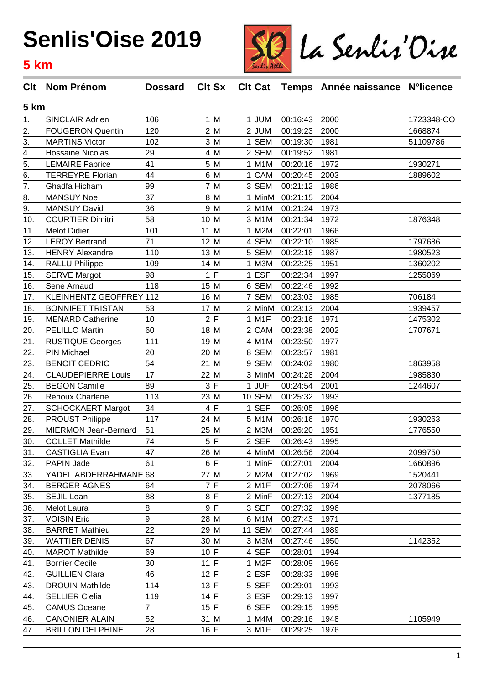### **Senlis'Oise 2019**

#### **5 km**



| Clt              | <b>Nom Prénom</b>         | <b>Dossard</b> | <b>Clt Sx</b> |               |                 | CIt Cat Temps Année naissance N°licence |            |  |
|------------------|---------------------------|----------------|---------------|---------------|-----------------|-----------------------------------------|------------|--|
| 5 km             |                           |                |               |               |                 |                                         |            |  |
| 1.               | SINCLAIR Adrien           | 106            | 1 M           | 1 JUM         | 00:16:43        | 2000                                    | 1723348-CO |  |
| 2.               | <b>FOUGERON Quentin</b>   | 120            | 2 M           | 2 JUM         | 00:19:23        | 2000                                    | 1668874    |  |
| 3.               | <b>MARTINS Victor</b>     | 102            | 3 M           | 1 SEM         | 00:19:30        | 1981                                    | 51109786   |  |
| 4.               | <b>Hossaine Nicolas</b>   | 29             | 4 M           | 2 SEM         | 00:19:52        | 1981                                    |            |  |
| $\overline{5}$ . | <b>LEMAIRE Fabrice</b>    | 41             | 5 M           | 1 M1M         | 00:20:16        | 1972                                    | 1930271    |  |
| 6.               | <b>TERREYRE Florian</b>   | 44             | 6 M           | 1 CAM         | 00:20:45        | 2003                                    | 1889602    |  |
| 7.               | Ghadfa Hicham             | 99             | 7 M           | 3 SEM         | 00:21:12        | 1986                                    |            |  |
| 8.               | <b>MANSUY Noe</b>         | 37             | 8 M           | 1 MinM        | 00:21:15        | 2004                                    |            |  |
| 9.               | <b>MANSUY David</b>       | 36             | 9 M           | 2 M1M         | 00:21:24        | 1973                                    |            |  |
| 10.              | <b>COURTIER Dimitri</b>   | 58             | 10 M          | 3 M1M         | 00:21:34        | 1972                                    | 1876348    |  |
| 11.              | <b>Melot Didier</b>       | 101            | 11 M          | 1 M2M         | 00:22:01        | 1966                                    |            |  |
| 12.              | <b>LEROY Bertrand</b>     | 71             | 12 M          | 4 SEM         | 00:22:10        | 1985                                    | 1797686    |  |
| 13.              | <b>HENRY Alexandre</b>    | 110            | 13 M          | 5 SEM         | 00:22:18        | 1987                                    | 1980523    |  |
| 14.              | <b>RALLU Philippe</b>     | 109            | 14 M          | 1 M3M         | 00:22:25        | 1951                                    | 1360202    |  |
| 15.              | <b>SERVE Margot</b>       | 98             | 1 F           | 1 ESF         | 00:22:34        | 1997                                    | 1255069    |  |
| 16.              | Sene Arnaud               | 118            | 15 M          | 6 SEM         | 00:22:46        | 1992                                    |            |  |
| 17.              | KLEINHENTZ GEOFFREY 112   |                | 16 M          | 7 SEM         | 00:23:03        | 1985                                    | 706184     |  |
| 18.              | <b>BONNIFET TRISTAN</b>   | 53             | 17 M          | 2 MinM        | 00:23:13        | 2004                                    | 1939457    |  |
| 19.              | <b>MENARD Catherine</b>   | 10             | 2F            | 1 M1F         | 00:23:16        | 1971                                    | 1475302    |  |
| 20.              | PELILLO Martin            | 60             | 18 M          | 2 CAM         | 00:23:38        | 2002                                    | 1707671    |  |
| 21.              | <b>RUSTIQUE Georges</b>   | 111            | 19 M          | 4 M1M         | 00:23:50        | 1977                                    |            |  |
| 22.              | PIN Michael               | 20             | 20 M          | 8 SEM         | 00:23:57        | 1981                                    |            |  |
| 23.              | <b>BENOIT CEDRIC</b>      | 54             | 21 M          | 9 SEM         | 00:24:02        | 1980                                    | 1863958    |  |
| 24.              | <b>CLAUDEPIERRE Louis</b> | 17             | 22 M          | 3 MinM        | 00:24:28        | 2004                                    | 1985830    |  |
| 25.              | <b>BEGON Camille</b>      | 89             | 3F            | 1 JUF         | 00:24:54        | 2001                                    | 1244607    |  |
| 26.              | Renoux Charlene           | 113            | 23 M          | <b>10 SEM</b> | 00:25:32        | 1993                                    |            |  |
| 27.              | <b>SCHOCKAERT Margot</b>  | 34             | 4 F           | 1 SEF         | 00:26:05        | 1996                                    |            |  |
| 28.              | <b>PROUST Philippe</b>    | 117            | 24 M          | 5 M1M         | 00:26:16        | 1970                                    | 1930263    |  |
| 29.              | MIERMON Jean-Bernard      | 51             | 25 M          | 2 M3M         | 00:26:20        | 1951                                    | 1776550    |  |
| 30.              | <b>COLLET Mathilde</b>    | 74             | 5 F           | 2 SEF         | 00:26:43        | 1995                                    |            |  |
| 31.              | <b>CASTIGLIA Evan</b>     | 47             | 26 M          |               | 4 MinM 00:26:56 | 2004                                    | 2099750    |  |
| 32.              | PAPIN Jade                | 61             | 6 F           | 1 MinF        | 00:27:01        | 2004                                    | 1660896    |  |
| 33.              | YADEL ABDERRAHMANE 68     |                | 27 M          | 2 M2M         | 00:27:02        | 1969                                    | 1520441    |  |
| 34.              | <b>BERGER AGNES</b>       | 64             | 7 F           | 2 M1F         | 00:27:06        | 1974                                    | 2078066    |  |
| 35.              | SEJIL Loan                | 88             | 8 F           | 2 MinF        | 00:27:13        | 2004                                    | 1377185    |  |
| 36.              | Melot Laura               | 8              | 9 F           | 3 SEF         | 00:27:32        | 1996                                    |            |  |
| 37.              | <b>VOISIN Eric</b>        | 9              | 28 M          | 6 M1M         | 00:27:43        | 1971                                    |            |  |
| 38.              | <b>BARRET Mathieu</b>     | 22             | 29 M          | <b>11 SEM</b> | 00:27:44        | 1989                                    |            |  |
| 39.              | <b>WATTIER DENIS</b>      | 67             | 30 M          | 3 M3M         | 00:27:46        | 1950                                    | 1142352    |  |
| 40.              | <b>MAROT Mathilde</b>     | 69             | 10 F          | 4 SEF         | 00:28:01        | 1994                                    |            |  |
| 41.              | <b>Bornier Cecile</b>     | 30             | 11 F          | 1 M2F         | 00:28:09        | 1969                                    |            |  |
| 42.              | <b>GUILLIEN Clara</b>     | 46             | 12 F          | 2 ESF         | 00:28:33        | 1998                                    |            |  |
| 43.              | <b>DROUIN Mathilde</b>    | 114            | 13 F          | 5 SEF         | 00:29:01        | 1993                                    |            |  |
| 44.              | <b>SELLIER Clelia</b>     | 119            | 14 F          | 3 ESF         | 00:29:13        | 1997                                    |            |  |
| 45.              | <b>CAMUS Oceane</b>       | $\overline{7}$ | 15 F          | 6 SEF         | 00:29:15        | 1995                                    |            |  |
| 46.              | <b>CANONIER ALAIN</b>     | 52             | 31 M          | 1 M4M         | 00:29:16        | 1948                                    | 1105949    |  |
| 47.              | <b>BRILLON DELPHINE</b>   | 28             | 16 F          | 3 M1F         | 00:29:25        | 1976                                    |            |  |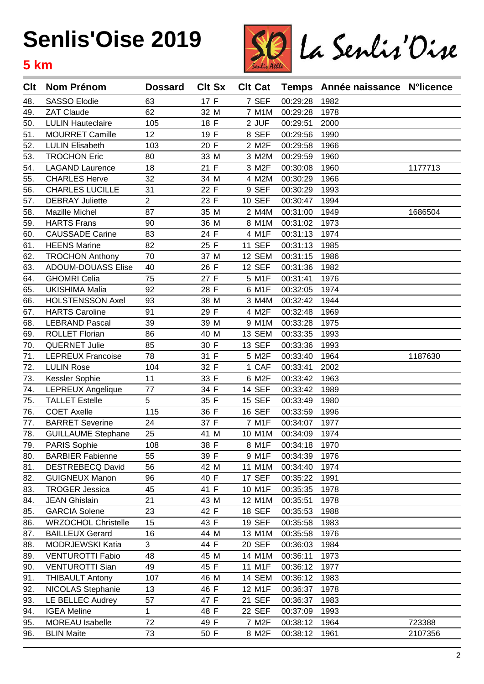# **Senlis'Oise 2019**

#### **5 km**



| Clt | <b>Nom Prénom</b>          | <b>Dossard</b> | <b>Clt Sx</b> | <b>Clt Cat</b> |          | Temps Année naissance N°licence |         |
|-----|----------------------------|----------------|---------------|----------------|----------|---------------------------------|---------|
| 48. | <b>SASSO Elodie</b>        | 63             | 17 F          | 7 SEF          | 00:29:28 | 1982                            |         |
| 49. | ZAT Claude                 | 62             | 32 M          | 7 M1M          | 00:29:28 | 1978                            |         |
| 50. | <b>LULIN Hauteclaire</b>   | 105            | 18 F          | 2 JUF          | 00:29:51 | 2000                            |         |
| 51. | <b>MOURRET Camille</b>     | 12             | 19 F          | 8 SEF          | 00:29:56 | 1990                            |         |
| 52. | <b>LULIN Elisabeth</b>     | 103            | 20 F          | 2 M2F          | 00:29:58 | 1966                            |         |
| 53. | <b>TROCHON Eric</b>        | 80             | 33 M          | 3 M2M          | 00:29:59 | 1960                            |         |
| 54. | <b>LAGAND Laurence</b>     | 18             | 21 F          | 3 M2F          | 00:30:08 | 1960                            | 1177713 |
| 55. | <b>CHARLES Herve</b>       | 32             | 34 M          | 4 M2M          | 00:30:29 | 1966                            |         |
| 56. | <b>CHARLES LUCILLE</b>     | 31             | 22 F          | 9 SEF          | 00:30:29 | 1993                            |         |
| 57. | <b>DEBRAY Juliette</b>     | 2              | 23 F          | <b>10 SEF</b>  | 00:30:47 | 1994                            |         |
| 58. | Mazille Michel             | 87             | 35 M          | 2 M4M          | 00:31:00 | 1949                            | 1686504 |
| 59. | <b>HARTS Frans</b>         | 90             | 36 M          | 8 M1M          | 00:31:02 | 1973                            |         |
| 60. | <b>CAUSSADE Carine</b>     | 83             | 24 F          | 4 M1F          | 00:31:13 | 1974                            |         |
| 61. | <b>HEENS Marine</b>        | 82             | 25 F          | <b>11 SEF</b>  | 00:31:13 | 1985                            |         |
| 62. | <b>TROCHON Anthony</b>     | 70             | 37 M          | 12 SEM         | 00:31:15 | 1986                            |         |
| 63. | <b>ADOUM-DOUASS Elise</b>  | 40             | 26 F          | <b>12 SEF</b>  | 00:31:36 | 1982                            |         |
| 64. | <b>GHOMRI Celia</b>        | 75             | 27 F          | 5 M1F          | 00:31:41 | 1976                            |         |
| 65. | <b>UKISHIMA Malia</b>      | 92             | 28 F          | 6 M1F          | 00:32:05 | 1974                            |         |
| 66. | <b>HOLSTENSSON Axel</b>    | 93             | 38 M          | 3 M4M          | 00:32:42 | 1944                            |         |
| 67. | <b>HARTS Caroline</b>      | 91             | 29 F          | 4 M2F          | 00:32:48 | 1969                            |         |
| 68. | <b>LEBRAND Pascal</b>      | 39             | 39 M          | 9 M1M          | 00:33:28 | 1975                            |         |
| 69. | <b>ROLLET Florian</b>      | 86             | 40 M          | 13 SEM         | 00:33:35 | 1993                            |         |
| 70. | <b>QUERNET Julie</b>       | 85             | 30 F          | <b>13 SEF</b>  | 00:33:36 | 1993                            |         |
| 71. | <b>LEPREUX Francoise</b>   | 78             | 31 F          | 5 M2F          | 00:33:40 | 1964                            | 1187630 |
| 72. | <b>LULIN Rose</b>          | 104            | 32 F          | 1 CAF          | 00:33:41 | 2002                            |         |
| 73. | Kessler Sophie             | 11             | 33 F          | 6 M2F          | 00:33:42 | 1963                            |         |
| 74. | LEPREUX Angelique          | 77             | 34 F          | <b>14 SEF</b>  | 00:33:42 | 1989                            |         |
| 75. | <b>TALLET Estelle</b>      | 5              | 35 F          | <b>15 SEF</b>  | 00:33:49 | 1980                            |         |
| 76. | <b>COET Axelle</b>         | 115            | 36 F          | <b>16 SEF</b>  | 00:33:59 | 1996                            |         |
| 77. | <b>BARRET Severine</b>     | 24             | 37 F          | 7 M1F          | 00:34:07 | 1977                            |         |
| 78. | <b>GUILLAUME Stephane</b>  | 25             | 41 M          | 10 M1M         | 00:34:09 | 1974                            |         |
| 79. | PARIS Sophie               | 108            | 38 F          | 8 M1F          | 00:34:18 | 1970                            |         |
| 80. | <b>BARBIER Fabienne</b>    | 55             | 39 F          | 9 M1F          | 00:34:39 | 1976                            |         |
| 81. | <b>DESTREBECQ David</b>    | 56             | 42 M          | 11 M1M         | 00:34:40 | 1974                            |         |
| 82. | <b>GUIGNEUX Manon</b>      | 96             | 40 F          | 17 SEF         | 00:35:22 | 1991                            |         |
| 83. | <b>TROGER Jessica</b>      | 45             | 41 F          | 10 M1F         | 00:35:35 | 1978                            |         |
| 84. | <b>JEAN Ghislain</b>       | 21             | 43 M          | 12 M1M         | 00:35:51 | 1978                            |         |
| 85. | <b>GARCIA Solene</b>       | 23             | 42 F          | <b>18 SEF</b>  | 00:35:53 | 1988                            |         |
| 86. | <b>WRZOCHOL Christelle</b> | 15             | 43 F          | <b>19 SEF</b>  | 00:35:58 | 1983                            |         |
| 87. | <b>BAILLEUX Gerard</b>     | 16             | 44 M          | 13 M1M         | 00:35:58 | 1976                            |         |
| 88. | MODRJEWSKI Katia           | 3              | 44 F          | <b>20 SEF</b>  | 00:36:03 | 1984                            |         |
| 89. | <b>VENTUROTTI Fabio</b>    | 48             | 45 M          | 14 M1M         | 00:36:11 | 1973                            |         |
| 90. | <b>VENTUROTTI Sian</b>     | 49             | 45 F          | 11 M1F         | 00:36:12 | 1977                            |         |
| 91. | <b>THIBAULT Antony</b>     | 107            | 46 M          | 14 SEM         | 00:36:12 | 1983                            |         |
| 92. | <b>NICOLAS Stephanie</b>   | 13             | 46 F          | 12 M1F         | 00:36:37 | 1978                            |         |
| 93. | LE BELLEC Audrey           | 57             | 47 F          | 21 SEF         | 00:36:37 | 1983                            |         |
| 94. | <b>IGEA Meline</b>         | 1              | 48 F          | <b>22 SEF</b>  | 00:37:09 | 1993                            |         |
| 95. | MOREAU Isabelle            | 72             | 49 F          | 7 M2F          | 00:38:12 | 1964                            | 723388  |
| 96. | <b>BLIN Maite</b>          | 73             | 50 F          | 8 M2F          | 00:38:12 | 1961                            | 2107356 |
|     |                            |                |               |                |          |                                 |         |